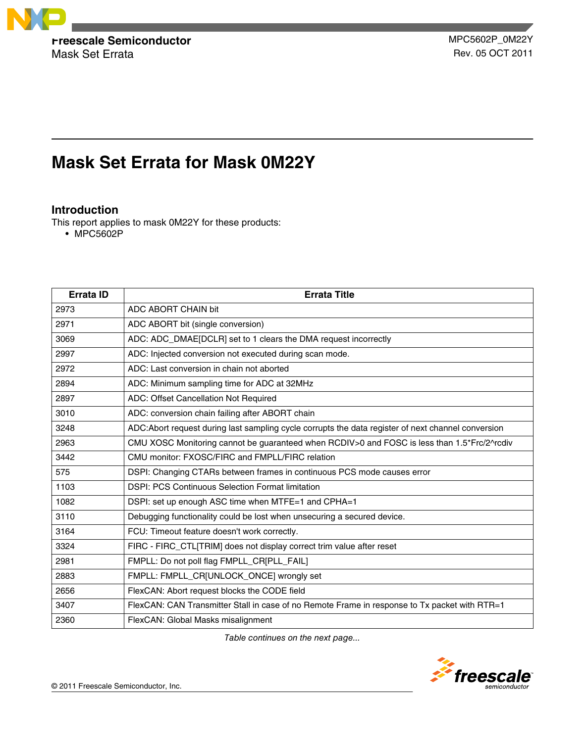

Mask Set Errata **Rev. 05 OCT 2011** 

# **Mask Set Errata for Mask 0M22Y**

# **Introduction**

This report applies to mask 0M22Y for these products:

• MPC5602P

| <b>Errata ID</b> | <b>Errata Title</b>                                                                                 |
|------------------|-----------------------------------------------------------------------------------------------------|
| 2973             | ADC ABORT CHAIN bit                                                                                 |
| 2971             | ADC ABORT bit (single conversion)                                                                   |
| 3069             | ADC: ADC_DMAE[DCLR] set to 1 clears the DMA request incorrectly                                     |
| 2997             | ADC: Injected conversion not executed during scan mode.                                             |
| 2972             | ADC: Last conversion in chain not aborted                                                           |
| 2894             | ADC: Minimum sampling time for ADC at 32MHz                                                         |
| 2897             | ADC: Offset Cancellation Not Required                                                               |
| 3010             | ADC: conversion chain failing after ABORT chain                                                     |
| 3248             | ADC: Abort request during last sampling cycle corrupts the data register of next channel conversion |
| 2963             | CMU XOSC Monitoring cannot be guaranteed when RCDIV>0 and FOSC is less than 1.5*Frc/2^rcdiv         |
| 3442             | CMU monitor: FXOSC/FIRC and FMPLL/FIRC relation                                                     |
| 575              | DSPI: Changing CTARs between frames in continuous PCS mode causes error                             |
| 1103             | <b>DSPI: PCS Continuous Selection Format limitation</b>                                             |
| 1082             | DSPI: set up enough ASC time when MTFE=1 and CPHA=1                                                 |
| 3110             | Debugging functionality could be lost when unsecuring a secured device.                             |
| 3164             | FCU: Timeout feature doesn't work correctly.                                                        |
| 3324             | FIRC - FIRC_CTL[TRIM] does not display correct trim value after reset                               |
| 2981             | FMPLL: Do not poll flag FMPLL_CR[PLL_FAIL]                                                          |
| 2883             | FMPLL: FMPLL_CR[UNLOCK_ONCE] wrongly set                                                            |
| 2656             | FlexCAN: Abort request blocks the CODE field                                                        |
| 3407             | FlexCAN: CAN Transmitter Stall in case of no Remote Frame in response to Tx packet with RTR=1       |
| 2360             | FlexCAN: Global Masks misalignment                                                                  |

*Table continues on the next page...*

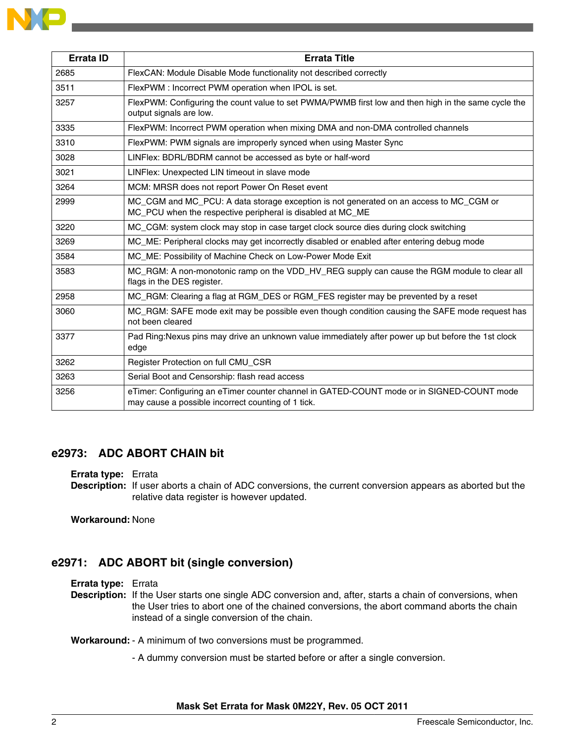| <b>Errata ID</b> | <b>Errata Title</b>                                                                                                                                  |
|------------------|------------------------------------------------------------------------------------------------------------------------------------------------------|
| 2685             | FlexCAN: Module Disable Mode functionality not described correctly                                                                                   |
| 3511             | FlexPWM : Incorrect PWM operation when IPOL is set.                                                                                                  |
| 3257             | FlexPWM: Configuring the count value to set PWMA/PWMB first low and then high in the same cycle the<br>output signals are low.                       |
| 3335             | FlexPWM: Incorrect PWM operation when mixing DMA and non-DMA controlled channels                                                                     |
| 3310             | FlexPWM: PWM signals are improperly synced when using Master Sync                                                                                    |
| 3028             | LINFlex: BDRL/BDRM cannot be accessed as byte or half-word                                                                                           |
| 3021             | LINFlex: Unexpected LIN timeout in slave mode                                                                                                        |
| 3264             | MCM: MRSR does not report Power On Reset event                                                                                                       |
| 2999             | MC_CGM and MC_PCU: A data storage exception is not generated on an access to MC_CGM or<br>MC_PCU when the respective peripheral is disabled at MC_ME |
| 3220             | MC_CGM: system clock may stop in case target clock source dies during clock switching                                                                |
| 3269             | MC_ME: Peripheral clocks may get incorrectly disabled or enabled after entering debug mode                                                           |
| 3584             | MC_ME: Possibility of Machine Check on Low-Power Mode Exit                                                                                           |
| 3583             | MC_RGM: A non-monotonic ramp on the VDD_HV_REG supply can cause the RGM module to clear all<br>flags in the DES register.                            |
| 2958             | MC_RGM: Clearing a flag at RGM_DES or RGM_FES register may be prevented by a reset                                                                   |
| 3060             | MC_RGM: SAFE mode exit may be possible even though condition causing the SAFE mode request has<br>not been cleared                                   |
| 3377             | Pad Ring: Nexus pins may drive an unknown value immediately after power up but before the 1st clock<br>edge                                          |
| 3262             | Register Protection on full CMU_CSR                                                                                                                  |
| 3263             | Serial Boot and Censorship: flash read access                                                                                                        |
| 3256             | eTimer: Configuring an eTimer counter channel in GATED-COUNT mode or in SIGNED-COUNT mode<br>may cause a possible incorrect counting of 1 tick.      |

# **e2973: ADC ABORT CHAIN bit**

#### **Errata type:** Errata

**Description:** If user aborts a chain of ADC conversions, the current conversion appears as aborted but the relative data register is however updated.

**Workaround:** None

# **e2971: ADC ABORT bit (single conversion)**

#### **Errata type:** Errata

**Description:** If the User starts one single ADC conversion and, after, starts a chain of conversions, when the User tries to abort one of the chained conversions, the abort command aborts the chain instead of a single conversion of the chain.

**Workaround:** - A minimum of two conversions must be programmed.

- A dummy conversion must be started before or after a single conversion.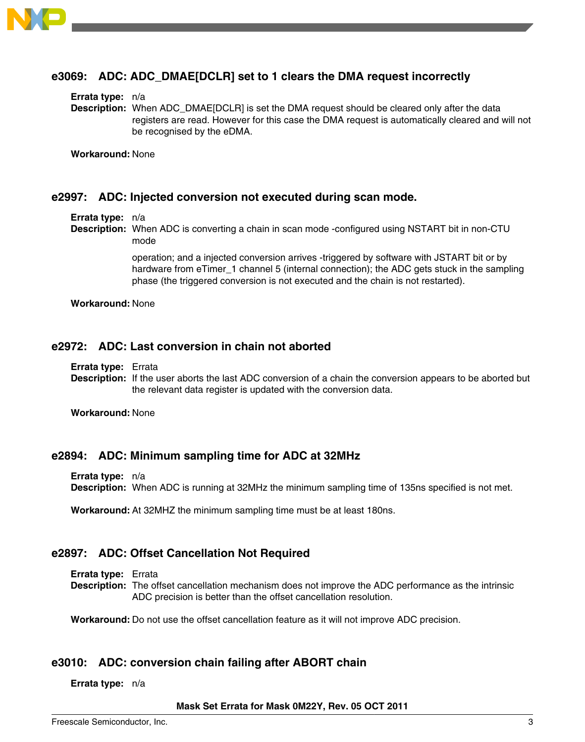

### **e3069: ADC: ADC\_DMAE[DCLR] set to 1 clears the DMA request incorrectly**

#### **Errata type:** n/a

**Description:** When ADC\_DMAE[DCLR] is set the DMA request should be cleared only after the data registers are read. However for this case the DMA request is automatically cleared and will not be recognised by the eDMA.

**Workaround:** None

### **e2997: ADC: Injected conversion not executed during scan mode.**

#### **Errata type:** n/a

**Description:** When ADC is converting a chain in scan mode -configured using NSTART bit in non-CTU mode

> operation; and a injected conversion arrives -triggered by software with JSTART bit or by hardware from eTimer 1 channel 5 (internal connection); the ADC gets stuck in the sampling phase (the triggered conversion is not executed and the chain is not restarted).

**Workaround:** None

### **e2972: ADC: Last conversion in chain not aborted**

**Errata type:** Errata

**Description:** If the user aborts the last ADC conversion of a chain the conversion appears to be aborted but the relevant data register is updated with the conversion data.

**Workaround:** None

### **e2894: ADC: Minimum sampling time for ADC at 32MHz**

**Errata type:** n/a

**Description:** When ADC is running at 32MHz the minimum sampling time of 135ns specified is not met.

**Workaround:** At 32MHZ the minimum sampling time must be at least 180ns.

### **e2897: ADC: Offset Cancellation Not Required**

**Errata type:** Errata

**Description:** The offset cancellation mechanism does not improve the ADC performance as the intrinsic ADC precision is better than the offset cancellation resolution.

**Workaround:** Do not use the offset cancellation feature as it will not improve ADC precision.

### **e3010: ADC: conversion chain failing after ABORT chain**

**Errata type:** n/a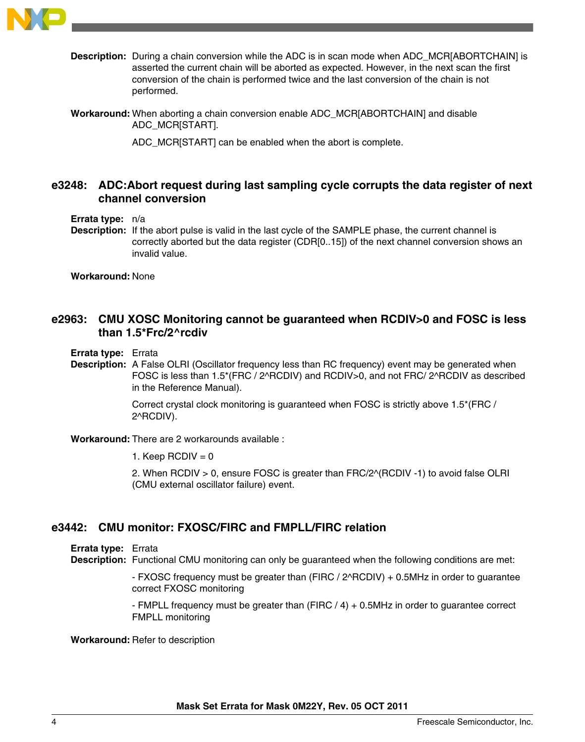

- **Description:** During a chain conversion while the ADC is in scan mode when ADC\_MCR[ABORTCHAIN] is asserted the current chain will be aborted as expected. However, in the next scan the first conversion of the chain is performed twice and the last conversion of the chain is not performed.
- **Workaround:** When aborting a chain conversion enable ADC\_MCR[ABORTCHAIN] and disable ADC\_MCR[START].

ADC\_MCR[START] can be enabled when the abort is complete.

### **e3248: ADC:Abort request during last sampling cycle corrupts the data register of next channel conversion**

**Errata type:** n/a

**Description:** If the abort pulse is valid in the last cycle of the SAMPLE phase, the current channel is correctly aborted but the data register (CDR[0..15]) of the next channel conversion shows an invalid value.

**Workaround:** None

### **e2963: CMU XOSC Monitoring cannot be guaranteed when RCDIV>0 and FOSC is less than 1.5\*Frc/2^rcdiv**

- **Errata type:** Errata
- **Description:** A False OLRI (Oscillator frequency less than RC frequency) event may be generated when FOSC is less than 1.5\*(FRC / 2^RCDIV) and RCDIV>0, and not FRC/ 2^RCDIV as described in the Reference Manual).

Correct crystal clock monitoring is guaranteed when FOSC is strictly above 1.5\*(FRC / 2^RCDIV).

**Workaround:** There are 2 workarounds available :

1. Keep  $RCDIV = 0$ 

2. When RCDIV > 0, ensure FOSC is greater than FRC/2^(RCDIV -1) to avoid false OLRI (CMU external oscillator failure) event.

### **e3442: CMU monitor: FXOSC/FIRC and FMPLL/FIRC relation**

**Errata type:** Errata

**Description:** Functional CMU monitoring can only be guaranteed when the following conditions are met:

- FXOSC frequency must be greater than (FIRC / 2^RCDIV) + 0.5MHz in order to guarantee correct FXOSC monitoring

- FMPLL frequency must be greater than (FIRC / 4) + 0.5MHz in order to guarantee correct FMPLL monitoring

**Workaround:** Refer to description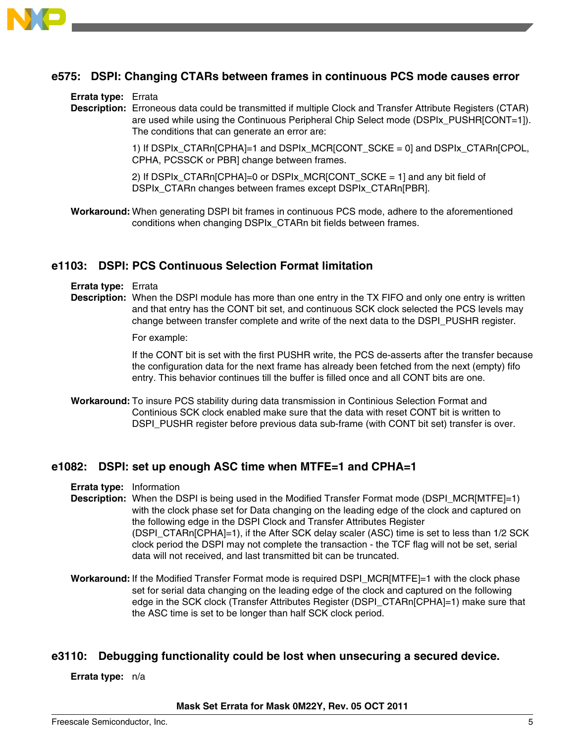

### **e575: DSPI: Changing CTARs between frames in continuous PCS mode causes error**

#### **Errata type:** Errata

**Description:** Erroneous data could be transmitted if multiple Clock and Transfer Attribute Registers (CTAR) are used while using the Continuous Peripheral Chip Select mode (DSPIx\_PUSHR[CONT=1]). The conditions that can generate an error are:

> 1) If DSPIx\_CTARn[CPHA]=1 and DSPIx\_MCR[CONT\_SCKE = 0] and DSPIx\_CTARn[CPOL, CPHA, PCSSCK or PBR] change between frames.

2) If DSPIx\_CTARn[CPHA]=0 or DSPIx\_MCR[CONT\_SCKE = 1] and any bit field of DSPIx\_CTARn changes between frames except DSPIx\_CTARn[PBR].

**Workaround:** When generating DSPI bit frames in continuous PCS mode, adhere to the aforementioned conditions when changing DSPIx\_CTARn bit fields between frames.

### **e1103: DSPI: PCS Continuous Selection Format limitation**

- **Errata type:** Errata
- **Description:** When the DSPI module has more than one entry in the TX FIFO and only one entry is written and that entry has the CONT bit set, and continuous SCK clock selected the PCS levels may change between transfer complete and write of the next data to the DSPI\_PUSHR register.

For example:

If the CONT bit is set with the first PUSHR write, the PCS de-asserts after the transfer because the configuration data for the next frame has already been fetched from the next (empty) fifo entry. This behavior continues till the buffer is filled once and all CONT bits are one.

**Workaround:** To insure PCS stability during data transmission in Continious Selection Format and Continious SCK clock enabled make sure that the data with reset CONT bit is written to DSPI\_PUSHR register before previous data sub-frame (with CONT bit set) transfer is over.

### **e1082: DSPI: set up enough ASC time when MTFE=1 and CPHA=1**

- **Errata type:** Information
- **Description:** When the DSPI is being used in the Modified Transfer Format mode (DSPI\_MCR[MTFE]=1) with the clock phase set for Data changing on the leading edge of the clock and captured on the following edge in the DSPI Clock and Transfer Attributes Register (DSPI\_CTARn[CPHA]=1), if the After SCK delay scaler (ASC) time is set to less than 1/2 SCK clock period the DSPI may not complete the transaction - the TCF flag will not be set, serial data will not received, and last transmitted bit can be truncated.
- **Workaround:** If the Modified Transfer Format mode is required DSPI\_MCR[MTFE]=1 with the clock phase set for serial data changing on the leading edge of the clock and captured on the following edge in the SCK clock (Transfer Attributes Register (DSPI\_CTARn[CPHA]=1) make sure that the ASC time is set to be longer than half SCK clock period.

### **e3110: Debugging functionality could be lost when unsecuring a secured device.**

**Errata type:** n/a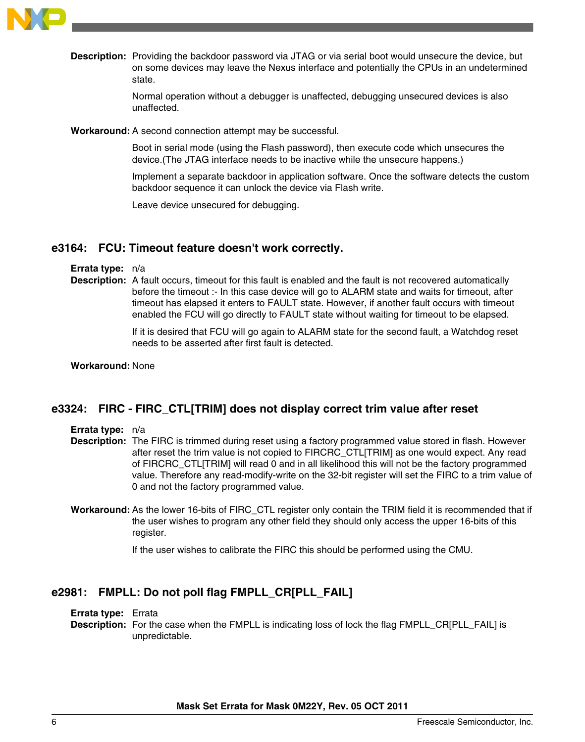

**Description:** Providing the backdoor password via JTAG or via serial boot would unsecure the device, but on some devices may leave the Nexus interface and potentially the CPUs in an undetermined state.

> Normal operation without a debugger is unaffected, debugging unsecured devices is also unaffected.

**Workaround:** A second connection attempt may be successful.

Boot in serial mode (using the Flash password), then execute code which unsecures the device.(The JTAG interface needs to be inactive while the unsecure happens.)

Implement a separate backdoor in application software. Once the software detects the custom backdoor sequence it can unlock the device via Flash write.

Leave device unsecured for debugging.

### **e3164: FCU: Timeout feature doesn't work correctly.**

**Errata type:** n/a

**Description:** A fault occurs, timeout for this fault is enabled and the fault is not recovered automatically before the timeout :- In this case device will go to ALARM state and waits for timeout, after timeout has elapsed it enters to FAULT state. However, if another fault occurs with timeout enabled the FCU will go directly to FAULT state without waiting for timeout to be elapsed.

> If it is desired that FCU will go again to ALARM state for the second fault, a Watchdog reset needs to be asserted after first fault is detected.

#### **Workaround:** None

### **e3324: FIRC - FIRC\_CTL[TRIM] does not display correct trim value after reset**

**Errata type:** n/a

- **Description:** The FIRC is trimmed during reset using a factory programmed value stored in flash. However after reset the trim value is not copied to FIRCRC\_CTL[TRIM] as one would expect. Any read of FIRCRC\_CTL[TRIM] will read 0 and in all likelihood this will not be the factory programmed value. Therefore any read-modify-write on the 32-bit register will set the FIRC to a trim value of 0 and not the factory programmed value.
- **Workaround:** As the lower 16-bits of FIRC\_CTL register only contain the TRIM field it is recommended that if the user wishes to program any other field they should only access the upper 16-bits of this register.

If the user wishes to calibrate the FIRC this should be performed using the CMU.

# **e2981: FMPLL: Do not poll flag FMPLL\_CR[PLL\_FAIL]**

**Errata type:** Errata

**Description:** For the case when the FMPLL is indicating loss of lock the flag FMPLL\_CR[PLL\_FAIL] is unpredictable.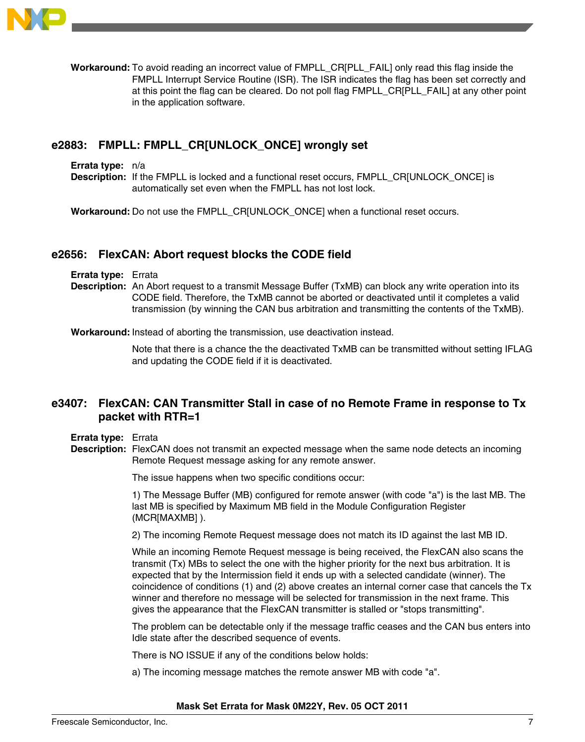

**Workaround:** To avoid reading an incorrect value of FMPLL\_CR[PLL\_FAIL] only read this flag inside the FMPLL Interrupt Service Routine (ISR). The ISR indicates the flag has been set correctly and at this point the flag can be cleared. Do not poll flag FMPLL\_CR[PLL\_FAIL] at any other point in the application software.

# **e2883: FMPLL: FMPLL\_CR[UNLOCK\_ONCE] wrongly set**

**Errata type:** n/a

**Description:** If the FMPLL is locked and a functional reset occurs, FMPLL\_CR[UNLOCK\_ONCE] is automatically set even when the FMPLL has not lost lock.

**Workaround:** Do not use the FMPLL\_CR[UNLOCK\_ONCE] when a functional reset occurs.

### **e2656: FlexCAN: Abort request blocks the CODE field**

- **Errata type:** Errata
- **Description:** An Abort request to a transmit Message Buffer (TxMB) can block any write operation into its CODE field. Therefore, the TxMB cannot be aborted or deactivated until it completes a valid transmission (by winning the CAN bus arbitration and transmitting the contents of the TxMB).

**Workaround:** Instead of aborting the transmission, use deactivation instead.

Note that there is a chance the the deactivated TxMB can be transmitted without setting IFLAG and updating the CODE field if it is deactivated.

### **e3407: FlexCAN: CAN Transmitter Stall in case of no Remote Frame in response to Tx packet with RTR=1**

**Errata type:** Errata

**Description:** FlexCAN does not transmit an expected message when the same node detects an incoming Remote Request message asking for any remote answer.

The issue happens when two specific conditions occur:

1) The Message Buffer (MB) configured for remote answer (with code "a") is the last MB. The last MB is specified by Maximum MB field in the Module Configuration Register (MCR[MAXMB] ).

2) The incoming Remote Request message does not match its ID against the last MB ID.

While an incoming Remote Request message is being received, the FlexCAN also scans the transmit (Tx) MBs to select the one with the higher priority for the next bus arbitration. It is expected that by the Intermission field it ends up with a selected candidate (winner). The coincidence of conditions (1) and (2) above creates an internal corner case that cancels the Tx winner and therefore no message will be selected for transmission in the next frame. This gives the appearance that the FlexCAN transmitter is stalled or "stops transmitting".

The problem can be detectable only if the message traffic ceases and the CAN bus enters into Idle state after the described sequence of events.

There is NO ISSUE if any of the conditions below holds:

a) The incoming message matches the remote answer MB with code "a".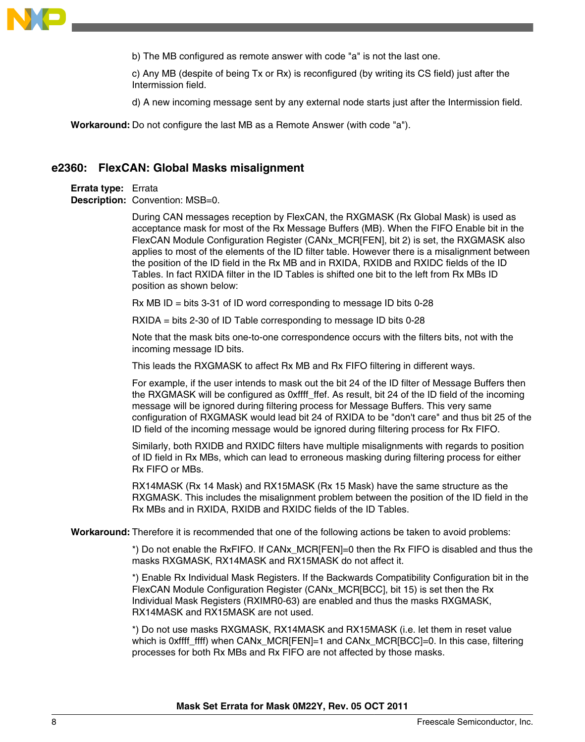

b) The MB configured as remote answer with code "a" is not the last one.

c) Any MB (despite of being Tx or Rx) is reconfigured (by writing its CS field) just after the Intermission field.

d) A new incoming message sent by any external node starts just after the Intermission field.

**Workaround:** Do not configure the last MB as a Remote Answer (with code "a").

#### **e2360: FlexCAN: Global Masks misalignment**

**Errata type:** Errata **Description:** Convention: MSB=0.

> During CAN messages reception by FlexCAN, the RXGMASK (Rx Global Mask) is used as acceptance mask for most of the Rx Message Buffers (MB). When the FIFO Enable bit in the FlexCAN Module Configuration Register (CANx\_MCR[FEN], bit 2) is set, the RXGMASK also applies to most of the elements of the ID filter table. However there is a misalignment between the position of the ID field in the Rx MB and in RXIDA, RXIDB and RXIDC fields of the ID Tables. In fact RXIDA filter in the ID Tables is shifted one bit to the left from Rx MBs ID position as shown below:

Rx MB ID = bits 3-31 of ID word corresponding to message ID bits 0-28

RXIDA = bits 2-30 of ID Table corresponding to message ID bits 0-28

Note that the mask bits one-to-one correspondence occurs with the filters bits, not with the incoming message ID bits.

This leads the RXGMASK to affect Rx MB and Rx FIFO filtering in different ways.

For example, if the user intends to mask out the bit 24 of the ID filter of Message Buffers then the RXGMASK will be configured as 0xffff ffef. As result, bit 24 of the ID field of the incoming message will be ignored during filtering process for Message Buffers. This very same configuration of RXGMASK would lead bit 24 of RXIDA to be "don't care" and thus bit 25 of the ID field of the incoming message would be ignored during filtering process for Rx FIFO.

Similarly, both RXIDB and RXIDC filters have multiple misalignments with regards to position of ID field in Rx MBs, which can lead to erroneous masking during filtering process for either Rx FIFO or MBs.

RX14MASK (Rx 14 Mask) and RX15MASK (Rx 15 Mask) have the same structure as the RXGMASK. This includes the misalignment problem between the position of the ID field in the Rx MBs and in RXIDA, RXIDB and RXIDC fields of the ID Tables.

**Workaround:** Therefore it is recommended that one of the following actions be taken to avoid problems:

\*) Do not enable the RxFIFO. If CANx\_MCR[FEN]=0 then the Rx FIFO is disabled and thus the masks RXGMASK, RX14MASK and RX15MASK do not affect it.

\*) Enable Rx Individual Mask Registers. If the Backwards Compatibility Configuration bit in the FlexCAN Module Configuration Register (CANx\_MCR[BCC], bit 15) is set then the Rx Individual Mask Registers (RXIMR0-63) are enabled and thus the masks RXGMASK, RX14MASK and RX15MASK are not used.

\*) Do not use masks RXGMASK, RX14MASK and RX15MASK (i.e. let them in reset value which is 0xffff ffff) when CANx  $MCR[FEN]=1$  and CANx  $MCR[BCC]=0$ . In this case, filtering processes for both Rx MBs and Rx FIFO are not affected by those masks.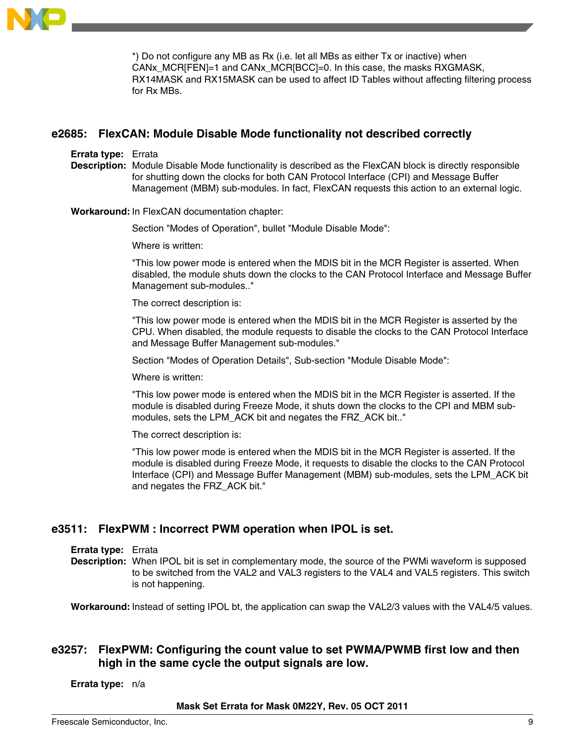

\*) Do not configure any MB as Rx (i.e. let all MBs as either Tx or inactive) when CANx\_MCR[FEN]=1 and CANx\_MCR[BCC]=0. In this case, the masks RXGMASK, RX14MASK and RX15MASK can be used to affect ID Tables without affecting filtering process for Rx MBs.

### **e2685: FlexCAN: Module Disable Mode functionality not described correctly**

#### **Errata type:** Errata

**Description:** Module Disable Mode functionality is described as the FlexCAN block is directly responsible for shutting down the clocks for both CAN Protocol Interface (CPI) and Message Buffer Management (MBM) sub-modules. In fact, FlexCAN requests this action to an external logic.

#### **Workaround:** In FlexCAN documentation chapter:

Section "Modes of Operation", bullet "Module Disable Mode":

Where is written:

"This low power mode is entered when the MDIS bit in the MCR Register is asserted. When disabled, the module shuts down the clocks to the CAN Protocol Interface and Message Buffer Management sub-modules.."

The correct description is:

"This low power mode is entered when the MDIS bit in the MCR Register is asserted by the CPU. When disabled, the module requests to disable the clocks to the CAN Protocol Interface and Message Buffer Management sub-modules."

Section "Modes of Operation Details", Sub-section "Module Disable Mode":

Where is written:

"This low power mode is entered when the MDIS bit in the MCR Register is asserted. If the module is disabled during Freeze Mode, it shuts down the clocks to the CPI and MBM submodules, sets the LPM\_ACK bit and negates the FRZ\_ACK bit.."

The correct description is:

"This low power mode is entered when the MDIS bit in the MCR Register is asserted. If the module is disabled during Freeze Mode, it requests to disable the clocks to the CAN Protocol Interface (CPI) and Message Buffer Management (MBM) sub-modules, sets the LPM\_ACK bit and negates the FRZ\_ACK bit."

### **e3511: FlexPWM : Incorrect PWM operation when IPOL is set.**

#### **Errata type:** Errata

**Description:** When IPOL bit is set in complementary mode, the source of the PWMi waveform is supposed to be switched from the VAL2 and VAL3 registers to the VAL4 and VAL5 registers. This switch is not happening.

**Workaround:** Instead of setting IPOL bt, the application can swap the VAL2/3 values with the VAL4/5 values.

# **e3257: FlexPWM: Configuring the count value to set PWMA/PWMB first low and then high in the same cycle the output signals are low.**

**Errata type:** n/a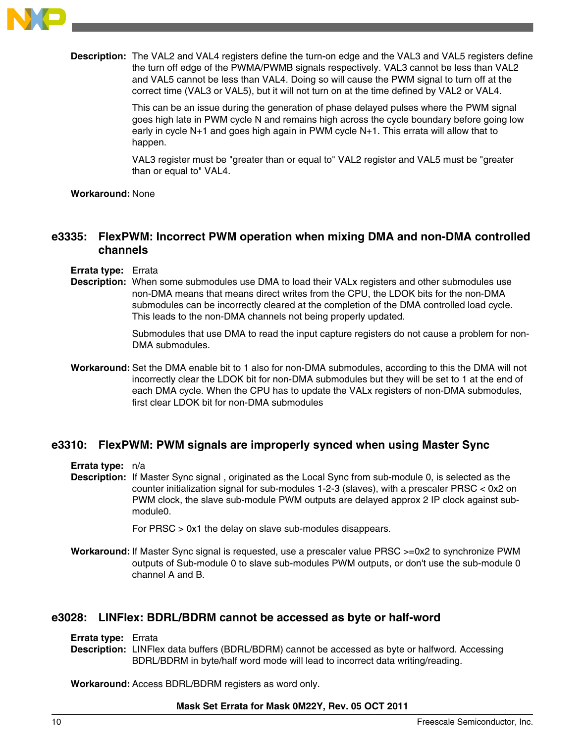

**Description:** The VAL2 and VAL4 registers define the turn-on edge and the VAL3 and VAL5 registers define the turn off edge of the PWMA/PWMB signals respectively. VAL3 cannot be less than VAL2 and VAL5 cannot be less than VAL4. Doing so will cause the PWM signal to turn off at the correct time (VAL3 or VAL5), but it will not turn on at the time defined by VAL2 or VAL4.

> This can be an issue during the generation of phase delayed pulses where the PWM signal goes high late in PWM cycle N and remains high across the cycle boundary before going low early in cycle N+1 and goes high again in PWM cycle N+1. This errata will allow that to happen.

VAL3 register must be "greater than or equal to" VAL2 register and VAL5 must be "greater than or equal to" VAL4.

#### **Workaround:** None

### **e3335: FlexPWM: Incorrect PWM operation when mixing DMA and non-DMA controlled channels**

- **Errata type:** Errata
- **Description:** When some submodules use DMA to load their VALx registers and other submodules use non-DMA means that means direct writes from the CPU, the LDOK bits for the non-DMA submodules can be incorrectly cleared at the completion of the DMA controlled load cycle. This leads to the non-DMA channels not being properly updated.

Submodules that use DMA to read the input capture registers do not cause a problem for non-DMA submodules.

**Workaround:** Set the DMA enable bit to 1 also for non-DMA submodules, according to this the DMA will not incorrectly clear the LDOK bit for non-DMA submodules but they will be set to 1 at the end of each DMA cycle. When the CPU has to update the VALx registers of non-DMA submodules, first clear LDOK bit for non-DMA submodules

### **e3310: FlexPWM: PWM signals are improperly synced when using Master Sync**

**Errata type:** n/a

**Description:** If Master Sync signal , originated as the Local Sync from sub-module 0, is selected as the counter initialization signal for sub-modules 1-2-3 (slaves), with a prescaler PRSC < 0x2 on PWM clock, the slave sub-module PWM outputs are delayed approx 2 IP clock against submodule0.

For PRSC > 0x1 the delay on slave sub-modules disappears.

**Workaround:** If Master Sync signal is requested, use a prescaler value PRSC >=0x2 to synchronize PWM outputs of Sub-module 0 to slave sub-modules PWM outputs, or don't use the sub-module 0 channel A and B.

### **e3028: LINFlex: BDRL/BDRM cannot be accessed as byte or half-word**

**Errata type:** Errata

**Description:** LINFlex data buffers (BDRL/BDRM) cannot be accessed as byte or halfword. Accessing BDRL/BDRM in byte/half word mode will lead to incorrect data writing/reading.

**Workaround:** Access BDRL/BDRM registers as word only.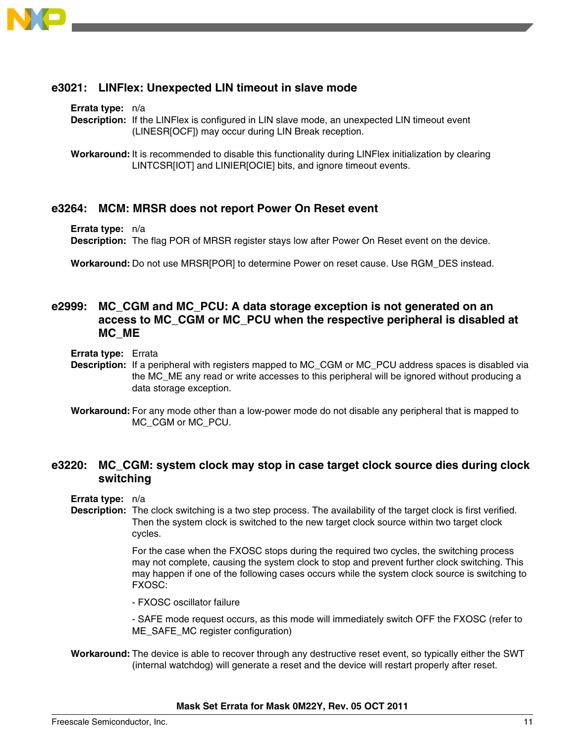

# **e3021: LINFlex: Unexpected LIN timeout in slave mode**

#### **Errata type:** n/a

**Description:** If the LINFlex is configured in LIN slave mode, an unexpected LIN timeout event (LINESR[OCF]) may occur during LIN Break reception.

**Workaround:** It is recommended to disable this functionality during LINFlex initialization by clearing LINTCSR[IOT] and LINIER[OCIE] bits, and ignore timeout events.

### **e3264: MCM: MRSR does not report Power On Reset event**

**Errata type:** n/a

**Description:** The flag POR of MRSR register stays low after Power On Reset event on the device.

**Workaround:** Do not use MRSR[POR] to determine Power on reset cause. Use RGM\_DES instead.

### **e2999: MC\_CGM and MC\_PCU: A data storage exception is not generated on an access to MC\_CGM or MC\_PCU when the respective peripheral is disabled at MC\_ME**

**Errata type:** Errata

**Description:** If a peripheral with registers mapped to MC\_CGM or MC\_PCU address spaces is disabled via the MC\_ME any read or write accesses to this peripheral will be ignored without producing a data storage exception.

### **e3220: MC\_CGM: system clock may stop in case target clock source dies during clock switching**

**Errata type:** n/a

**Description:** The clock switching is a two step process. The availability of the target clock is first verified. Then the system clock is switched to the new target clock source within two target clock cycles.

> For the case when the FXOSC stops during the required two cycles, the switching process may not complete, causing the system clock to stop and prevent further clock switching. This may happen if one of the following cases occurs while the system clock source is switching to FXOSC:

- FXOSC oscillator failure

- SAFE mode request occurs, as this mode will immediately switch OFF the FXOSC (refer to ME\_SAFE\_MC register configuration)

**Workaround:** The device is able to recover through any destructive reset event, so typically either the SWT (internal watchdog) will generate a reset and the device will restart properly after reset.

**Mask Set Errata for Mask 0M22Y, Rev. 05 OCT 2011**

**Workaround:** For any mode other than a low-power mode do not disable any peripheral that is mapped to MC\_CGM or MC\_PCU.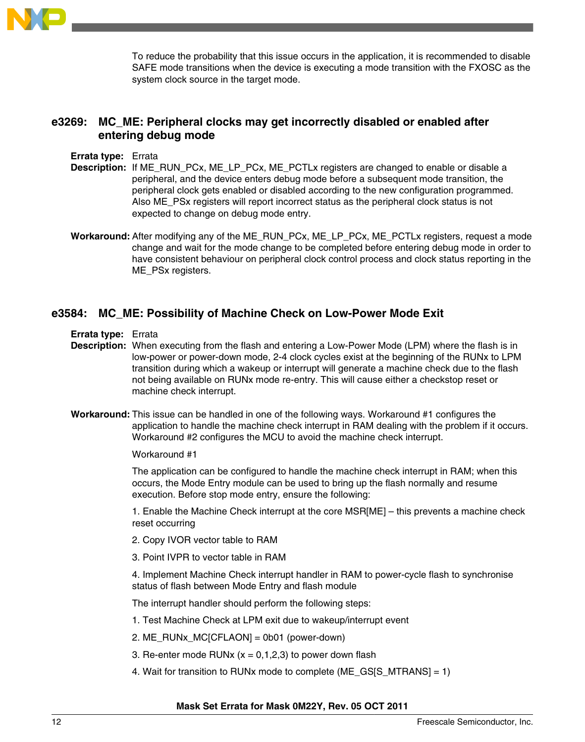

To reduce the probability that this issue occurs in the application, it is recommended to disable SAFE mode transitions when the device is executing a mode transition with the FXOSC as the system clock source in the target mode.

### **e3269: MC\_ME: Peripheral clocks may get incorrectly disabled or enabled after entering debug mode**

#### **Errata type:** Errata

- **Description:** If ME\_RUN\_PCx, ME\_LP\_PCx, ME\_PCTLx registers are changed to enable or disable a peripheral, and the device enters debug mode before a subsequent mode transition, the peripheral clock gets enabled or disabled according to the new configuration programmed. Also ME\_PSx registers will report incorrect status as the peripheral clock status is not expected to change on debug mode entry.
- **Workaround:** After modifying any of the ME\_RUN\_PCx, ME\_LP\_PCx, ME\_PCTLx registers, request a mode change and wait for the mode change to be completed before entering debug mode in order to have consistent behaviour on peripheral clock control process and clock status reporting in the ME\_PSx registers.

### **e3584: MC\_ME: Possibility of Machine Check on Low-Power Mode Exit**

**Errata type:** Errata

- **Description:** When executing from the flash and entering a Low-Power Mode (LPM) where the flash is in low-power or power-down mode, 2-4 clock cycles exist at the beginning of the RUNx to LPM transition during which a wakeup or interrupt will generate a machine check due to the flash not being available on RUNx mode re-entry. This will cause either a checkstop reset or machine check interrupt.
- **Workaround:** This issue can be handled in one of the following ways. Workaround #1 configures the application to handle the machine check interrupt in RAM dealing with the problem if it occurs. Workaround #2 configures the MCU to avoid the machine check interrupt.

#### Workaround #1

The application can be configured to handle the machine check interrupt in RAM; when this occurs, the Mode Entry module can be used to bring up the flash normally and resume execution. Before stop mode entry, ensure the following:

1. Enable the Machine Check interrupt at the core MSR[ME] – this prevents a machine check reset occurring

- 2. Copy IVOR vector table to RAM
- 3. Point IVPR to vector table in RAM

4. Implement Machine Check interrupt handler in RAM to power-cycle flash to synchronise status of flash between Mode Entry and flash module

The interrupt handler should perform the following steps:

- 1. Test Machine Check at LPM exit due to wakeup/interrupt event
- 2. ME\_RUNx\_MC[CFLAON] = 0b01 (power-down)
- 3. Re-enter mode RUNx  $(x = 0, 1, 2, 3)$  to power down flash
- 4. Wait for transition to RUNx mode to complete (ME\_GS[S\_MTRANS] = 1)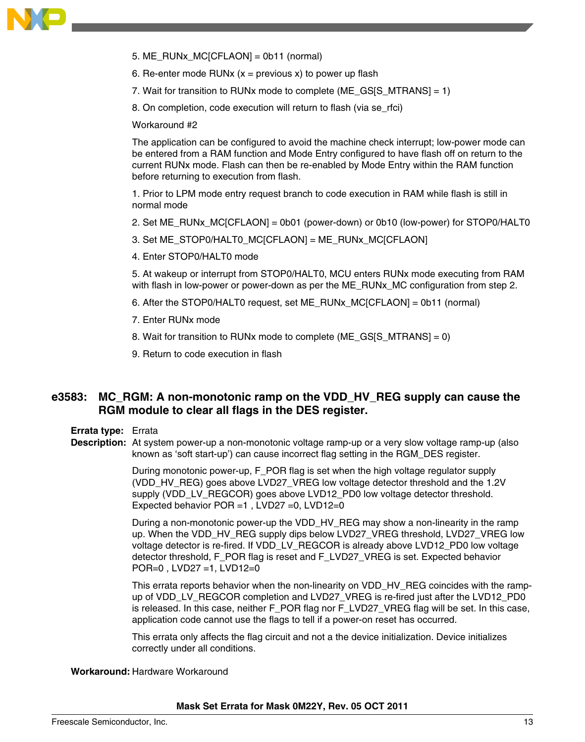

- 5. ME\_RUNx\_MC[CFLAON] = 0b11 (normal)
- 6. Re-enter mode RUNx  $(x =$  previous x) to power up flash
- 7. Wait for transition to RUNx mode to complete (ME\_GS[S\_MTRANS] = 1)
- 8. On completion, code execution will return to flash (via se\_rfci)

Workaround #2

The application can be configured to avoid the machine check interrupt; low-power mode can be entered from a RAM function and Mode Entry configured to have flash off on return to the current RUNx mode. Flash can then be re-enabled by Mode Entry within the RAM function before returning to execution from flash.

1. Prior to LPM mode entry request branch to code execution in RAM while flash is still in normal mode

- 2. Set ME\_RUNx\_MC[CFLAON] = 0b01 (power-down) or 0b10 (low-power) for STOP0/HALT0
- 3. Set ME\_STOP0/HALT0\_MC[CFLAON] = ME\_RUNx\_MC[CFLAON]
- 4. Enter STOP0/HALT0 mode

5. At wakeup or interrupt from STOP0/HALT0, MCU enters RUNx mode executing from RAM with flash in low-power or power-down as per the ME\_RUNx\_MC configuration from step 2.

- 6. After the STOP0/HALT0 request, set ME\_RUNx\_MC[CFLAON] = 0b11 (normal)
- 7. Enter RUNx mode
- 8. Wait for transition to RUNx mode to complete (ME\_GS[S\_MTRANS] = 0)
- 9. Return to code execution in flash

# **e3583: MC\_RGM: A non-monotonic ramp on the VDD\_HV\_REG supply can cause the RGM module to clear all flags in the DES register.**

**Errata type:** Errata

**Description:** At system power-up a non-monotonic voltage ramp-up or a very slow voltage ramp-up (also known as 'soft start-up') can cause incorrect flag setting in the RGM\_DES register.

> During monotonic power-up, F\_POR flag is set when the high voltage regulator supply (VDD\_HV\_REG) goes above LVD27\_VREG low voltage detector threshold and the 1.2V supply (VDD\_LV\_REGCOR) goes above LVD12\_PD0 low voltage detector threshold. Expected behavior POR =1 , LVD27 =0, LVD12=0

During a non-monotonic power-up the VDD\_HV\_REG may show a non-linearity in the ramp up. When the VDD\_HV\_REG supply dips below LVD27\_VREG threshold, LVD27\_VREG low voltage detector is re-fired. If VDD\_LV\_REGCOR is already above LVD12\_PD0 low voltage detector threshold, F\_POR flag is reset and F\_LVD27\_VREG is set. Expected behavior POR=0 , LVD27 =1, LVD12=0

This errata reports behavior when the non-linearity on VDD HV\_REG coincides with the rampup of VDD\_LV\_REGCOR completion and LVD27\_VREG is re-fired just after the LVD12\_PD0 is released. In this case, neither F\_POR flag nor F\_LVD27\_VREG flag will be set. In this case, application code cannot use the flags to tell if a power-on reset has occurred.

This errata only affects the flag circuit and not a the device initialization. Device initializes correctly under all conditions.

#### **Workaround:** Hardware Workaround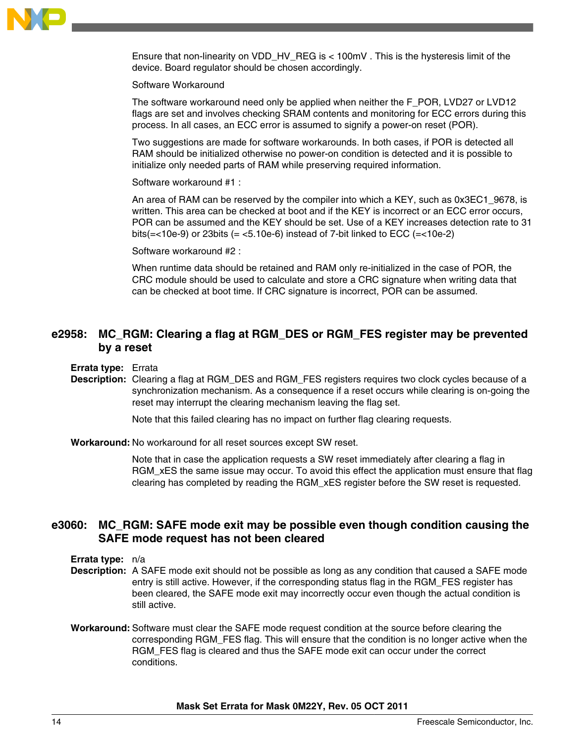

Ensure that non-linearity on VDD  $HV$  REG is  $<$  100mV . This is the hysteresis limit of the device. Board regulator should be chosen accordingly.

#### Software Workaround

The software workaround need only be applied when neither the F\_POR, LVD27 or LVD12 flags are set and involves checking SRAM contents and monitoring for ECC errors during this process. In all cases, an ECC error is assumed to signify a power-on reset (POR).

Two suggestions are made for software workarounds. In both cases, if POR is detected all RAM should be initialized otherwise no power-on condition is detected and it is possible to initialize only needed parts of RAM while preserving required information.

Software workaround #1 :

An area of RAM can be reserved by the compiler into which a KEY, such as 0x3EC1\_9678, is written. This area can be checked at boot and if the KEY is incorrect or an ECC error occurs, POR can be assumed and the KEY should be set. Use of a KEY increases detection rate to 31 bits( $=$ <10e-9) or 23bits ( $=$  <5.10e-6) instead of 7-bit linked to ECC ( $=$ <10e-2)

Software workaround #2 :

When runtime data should be retained and RAM only re-initialized in the case of POR, the CRC module should be used to calculate and store a CRC signature when writing data that can be checked at boot time. If CRC signature is incorrect, POR can be assumed.

# **e2958: MC\_RGM: Clearing a flag at RGM\_DES or RGM\_FES register may be prevented by a reset**

**Errata type:** Errata

**Description:** Clearing a flag at RGM\_DES and RGM\_FES registers requires two clock cycles because of a synchronization mechanism. As a consequence if a reset occurs while clearing is on-going the reset may interrupt the clearing mechanism leaving the flag set.

Note that this failed clearing has no impact on further flag clearing requests.

**Workaround:** No workaround for all reset sources except SW reset.

Note that in case the application requests a SW reset immediately after clearing a flag in RGM xES the same issue may occur. To avoid this effect the application must ensure that flag clearing has completed by reading the RGM\_xES register before the SW reset is requested.

### **e3060: MC\_RGM: SAFE mode exit may be possible even though condition causing the SAFE mode request has not been cleared**

**Errata type:** n/a

- **Description:** A SAFE mode exit should not be possible as long as any condition that caused a SAFE mode entry is still active. However, if the corresponding status flag in the RGM\_FES register has been cleared, the SAFE mode exit may incorrectly occur even though the actual condition is still active.
- **Workaround:** Software must clear the SAFE mode request condition at the source before clearing the corresponding RGM\_FES flag. This will ensure that the condition is no longer active when the RGM\_FES flag is cleared and thus the SAFE mode exit can occur under the correct conditions.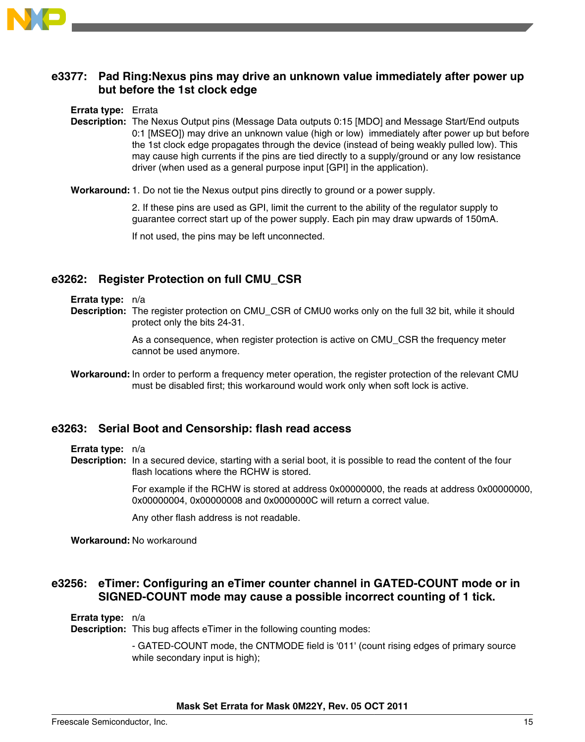

### **e3377: Pad Ring:Nexus pins may drive an unknown value immediately after power up but before the 1st clock edge**

#### **Errata type:** Errata

**Description:** The Nexus Output pins (Message Data outputs 0:15 [MDO] and Message Start/End outputs 0:1 [MSEO]) may drive an unknown value (high or low) immediately after power up but before the 1st clock edge propagates through the device (instead of being weakly pulled low). This may cause high currents if the pins are tied directly to a supply/ground or any low resistance driver (when used as a general purpose input [GPI] in the application).

**Workaround:**1. Do not tie the Nexus output pins directly to ground or a power supply.

2. If these pins are used as GPI, limit the current to the ability of the regulator supply to guarantee correct start up of the power supply. Each pin may draw upwards of 150mA.

If not used, the pins may be left unconnected.

### **e3262: Register Protection on full CMU\_CSR**

#### **Errata type:** n/a

**Description:** The register protection on CMU\_CSR of CMU0 works only on the full 32 bit, while it should protect only the bits 24-31.

> As a consequence, when register protection is active on CMU\_CSR the frequency meter cannot be used anymore.

**Workaround:** In order to perform a frequency meter operation, the register protection of the relevant CMU must be disabled first; this workaround would work only when soft lock is active.

### **e3263: Serial Boot and Censorship: flash read access**

#### **Errata type:** n/a

**Description:** In a secured device, starting with a serial boot, it is possible to read the content of the four flash locations where the RCHW is stored.

> For example if the RCHW is stored at address 0x00000000, the reads at address 0x00000000, 0x00000004, 0x00000008 and 0x0000000C will return a correct value.

Any other flash address is not readable.

**Workaround:** No workaround

# **e3256: eTimer: Configuring an eTimer counter channel in GATED-COUNT mode or in SIGNED-COUNT mode may cause a possible incorrect counting of 1 tick.**

#### **Errata type:** n/a

**Description:** This bug affects eTimer in the following counting modes:

- GATED-COUNT mode, the CNTMODE field is '011' (count rising edges of primary source while secondary input is high);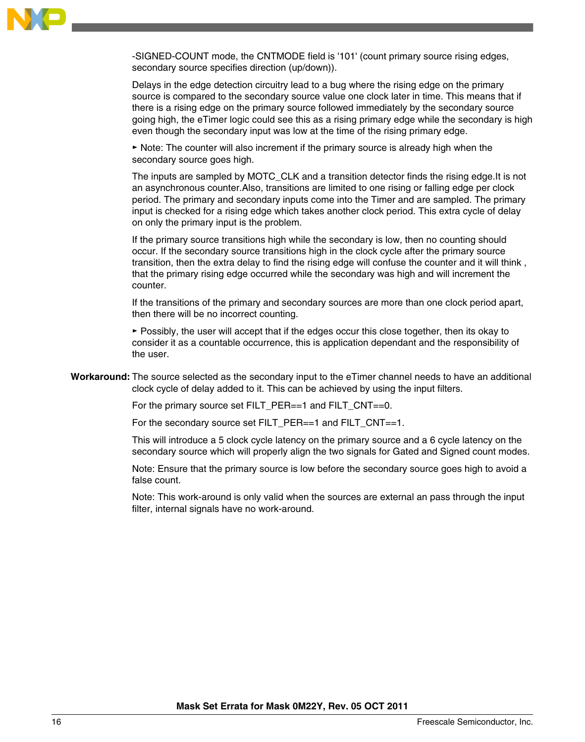

-SIGNED-COUNT mode, the CNTMODE field is '101' (count primary source rising edges, secondary source specifies direction (up/down)).

Delays in the edge detection circuitry lead to a bug where the rising edge on the primary source is compared to the secondary source value one clock later in time. This means that if there is a rising edge on the primary source followed immediately by the secondary source going high, the eTimer logic could see this as a rising primary edge while the secondary is high even though the secondary input was low at the time of the rising primary edge.

► Note: The counter will also increment if the primary source is already high when the secondary source goes high.

The inputs are sampled by MOTC\_CLK and a transition detector finds the rising edge.It is not an asynchronous counter.Also, transitions are limited to one rising or falling edge per clock period. The primary and secondary inputs come into the Timer and are sampled. The primary input is checked for a rising edge which takes another clock period. This extra cycle of delay on only the primary input is the problem.

If the primary source transitions high while the secondary is low, then no counting should occur. If the secondary source transitions high in the clock cycle after the primary source transition, then the extra delay to find the rising edge will confuse the counter and it will think , that the primary rising edge occurred while the secondary was high and will increment the counter.

If the transitions of the primary and secondary sources are more than one clock period apart, then there will be no incorrect counting.

► Possibly, the user will accept that if the edges occur this close together, then its okay to consider it as a countable occurrence, this is application dependant and the responsibility of the user.

**Workaround:** The source selected as the secondary input to the eTimer channel needs to have an additional clock cycle of delay added to it. This can be achieved by using the input filters.

For the primary source set FILT\_PER==1 and FILT\_CNT==0.

For the secondary source set FILT\_PER==1 and FILT\_CNT==1.

This will introduce a 5 clock cycle latency on the primary source and a 6 cycle latency on the secondary source which will properly align the two signals for Gated and Signed count modes.

Note: Ensure that the primary source is low before the secondary source goes high to avoid a false count.

Note: This work-around is only valid when the sources are external an pass through the input filter, internal signals have no work-around.